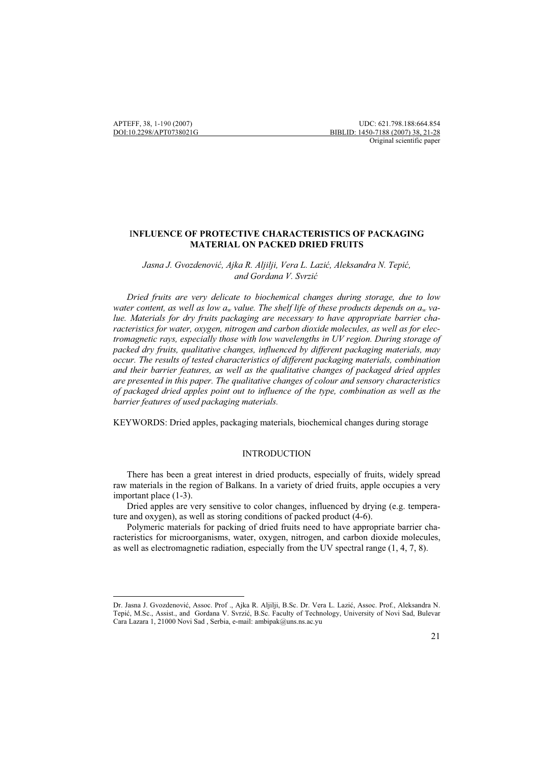$\overline{a}$ 

# <sup>I</sup>**NFLUENCE OF PROTECTIVE CHARACTERISTICS OF PACKAGING MATERIAL ON PACKED DRIED FRUITS**

Jasna J. Gvozdenović, Ajka R. Aljilji, Vera L. Lazić, Aleksandra N. Tepić, and Gordana V. Svrzić

 *Dried fruits are very delicate to biochemical changes during storage, due to low*  water content, as well as low  $a_w$  value. The shelf life of these products depends on  $a_w$  va*lue. Materials for dry fruits packaging are necessary to have appropriate barrier characteristics for water, oxygen, nitrogen and carbon dioxide molecules, as well as for electromagnetic rays, especially those with low wavelengths in UV region. During storage of packed dry fruits, qualitative changes, influenced by different packaging materials, may occur. The results of tested characteristics of different packaging materials, combination and their barrier features, as well as the qualitative changes of packaged dried apples are presented in this paper. The qualitative changes of colour and sensory characteristics of packaged dried apples point out to influence of the type, combination as well as the barrier features of used packaging materials.* 

KEYWORDS: Dried apples, packaging materials, biochemical changes during storage

### INTRODUCTION

 There has been a great interest in dried products, especially of fruits, widely spread raw materials in the region of Balkans. In a variety of dried fruits, apple occupies a very important place (1-3).

 Dried apples are very sensitive to color changes, influenced by drying (e.g. temperature and oxygen), as well as storing conditions of packed product (4-6).

 Polymeric materials for packing of dried fruits need to have appropriate barrier characteristics for microorganisms, water, oxygen, nitrogen, and carbon dioxide molecules, as well as electromagnetic radiation, especially from the UV spectral range (1, 4, 7, 8).

Dr. Jasna J. Gvozdenović, Assoc. Prof ., Ajka R. Aljilji, B.Sc. Dr. Vera L. Lazić, Assoc. Prof., Aleksandra N. Tepić, M.Sc., Assist., and Gordana V. Svrzić, B.Sc. Faculty of Technology, University of Novi Sad, Bulevar Cara Lazara 1, 21000 Novi Sad , Serbia, e-mail: ambipak@uns.ns.ac.yu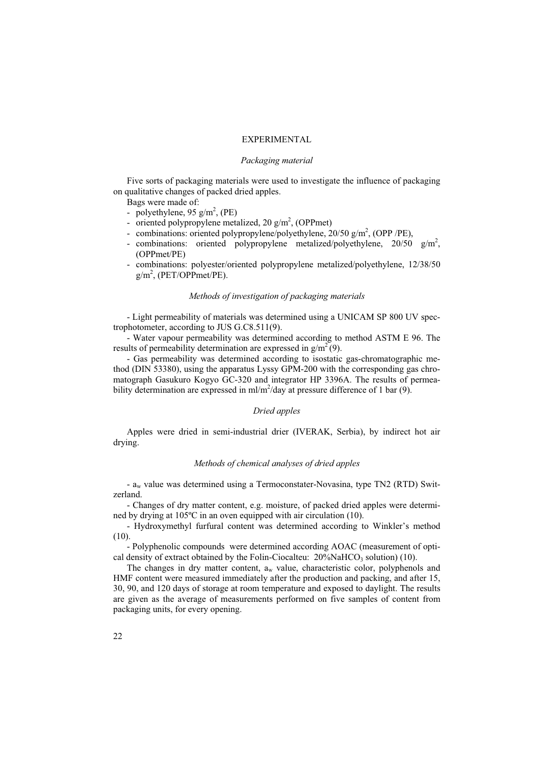### EXPERIMENTAL

#### *Packaging material*

 Five sorts of packaging materials were used to investigate the influence of packaging on qualitative changes of packed dried apples.

Bags were made of:

- polyethylene,  $95 \text{ g/m}^2$ , (PE)
- oriented polypropylene metalized,  $20 \text{ g/m}^2$ , (OPPmet)
- combinations: oriented polypropylene/polyethylene, 20/50 g/m<sup>2</sup>, (OPP /PE),
- combinations: oriented polypropylene metalized/polyethylene,  $20/50$  g/m<sup>2</sup>, (OPPmet/PE)
- combinations: polyester/oriented polypropylene metalized/polyethylene, 12/38/50  $g/m^2$ , (PET/OPPmet/PE).

### *Methods of investigation of packaging materials*

 - Light permeability of materials was determined using a UNICAM SP 800 UV spectrophotometer, according to JUS G.C8.511(9).

 - Water vapour permeability was determined according to method ASTM E 96. The results of permeability determination are expressed in  $g/m^2(9)$ .

 - Gas permeability was determined according to isostatic gas-chromatographic method (DIN 53380), using the apparatus Lyssy GPM-200 with the corresponding gas chromatograph Gasukuro Kogyo GC-320 and integrator HP 3396A. The results of permeability determination are expressed in  $ml/m^2/day$  at pressure difference of 1 bar (9).

### *Dried apples*

 Apples were dried in semi-industrial drier (IVERAK, Serbia), by indirect hot air drying.

### *Methods of chemical analyses of dried apples*

 - aw value was determined using a Termoconstater-Novasina, type TN2 (RTD) Switzerland.

 - Changes of dry matter content, e.g. moisture, of packed dried apples were determined by drying at 105ºC in an oven equipped with air circulation (10).

 - Hydroxymethyl furfural content was determined according to Winkler's method (10).

 - Polyphenolic compounds were determined according AOAC (measurement of optical density of extract obtained by the Folin-Ciocalteu:  $20\%$ NaHCO<sub>3</sub> solution) (10).

The changes in dry matter content,  $a_w$  value, characteristic color, polyphenols and HMF content were measured immediately after the production and packing, and after 15, 30, 90, and 120 days of storage at room temperature and exposed to daylight. The results are given as the average of measurements performed on five samples of content from packaging units, for every opening.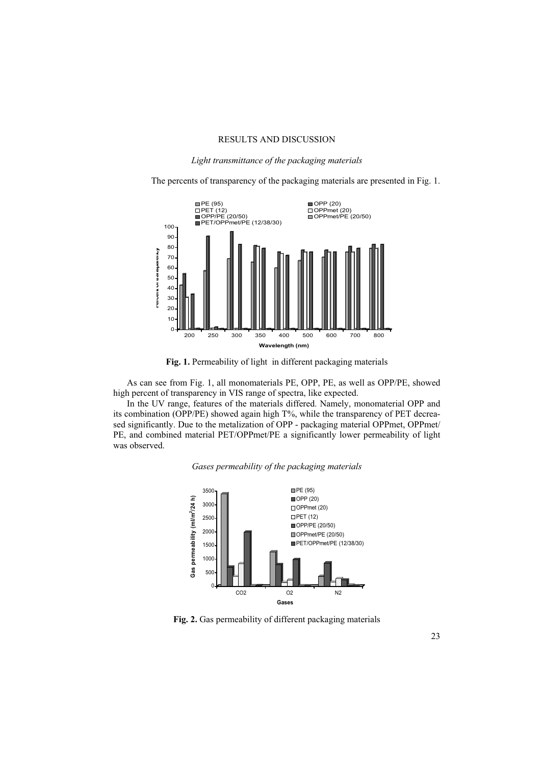### RESULTS AND DISCUSSION

*Light transmittance of the packaging materials* 

The percents of transparency of the packaging materials are presented in Fig. 1.



**Fig. 1.** Permeability of light in different packaging materials

 As can see from Fig. 1, all monomaterials PE, OPP, PE, as well as OPP/PE, showed high percent of transparency in VIS range of spectra, like expected.

In the UV range, features of the materials differed. Namely, monomaterial OPP and its combination (OPP/PE) showed again high T%, while the transparency of PET decreased significantly. Due to the metalization of OPP - packaging material OPPmet, OPPmet/ PE, and combined material PET/OPPmet/PE a significantly lower permeability of light was observed.

## *Gases permeability of the packaging materials*



**Fig. 2.** Gas permeability of different packaging materials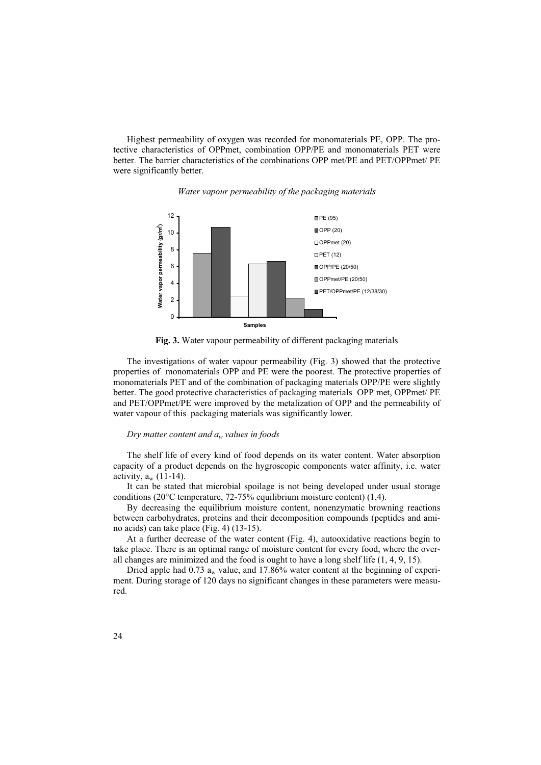Highest permeability of oxygen was recorded for monomaterials PE, OPP. The protective characteristics of OPPmet, combination OPP/PE and monomaterials PET were better. The barrier characteristics of the combinations OPP met/PE and PET/OPPmet/ PE were significantly better.



*Water vapour permeability of the packaging materials* 



 The investigations of water vapour permeability (Fig. 3) showed that the protective properties of monomaterials OPP and PE were the poorest. The protective properties of monomaterials PET and of the combination of packaging materials OPP/PE were slightly better. The good protective characteristics of packaging materials OPP met, OPPmet/ PE and PET/OPPmet/PE were improved by the metalization of OPP and the permeability of water vapour of this packaging materials was significantly lower.

#### *Dry matter content and aw values in foods*

The shelf life of every kind of food depends on its water content. Water absorption capacity of a product depends on the hygroscopic components water affinity, i.e. water activity,  $a_w$  (11-14).

It can be stated that microbial spoilage is not being developed under usual storage conditions (20°C temperature, 72-75% equilibrium moisture content) (1,4).

By decreasing the equilibrium moisture content, nonenzymatic browning reactions between carbohydrates, proteins and their decomposition compounds (peptides and amino acids) can take place (Fig. 4) (13-15).

At a further decrease of the water content (Fig. 4), autooxidative reactions begin to take place. There is an optimal range of moisture content for every food, where the overall changes are minimized and the food is ought to have a long shelf life (1, 4, 9, 15).

Dried apple had  $0.73$  a<sub>w</sub> value, and  $17.86\%$  water content at the beginning of experiment. During storage of 120 days no significant changes in these parameters were measured.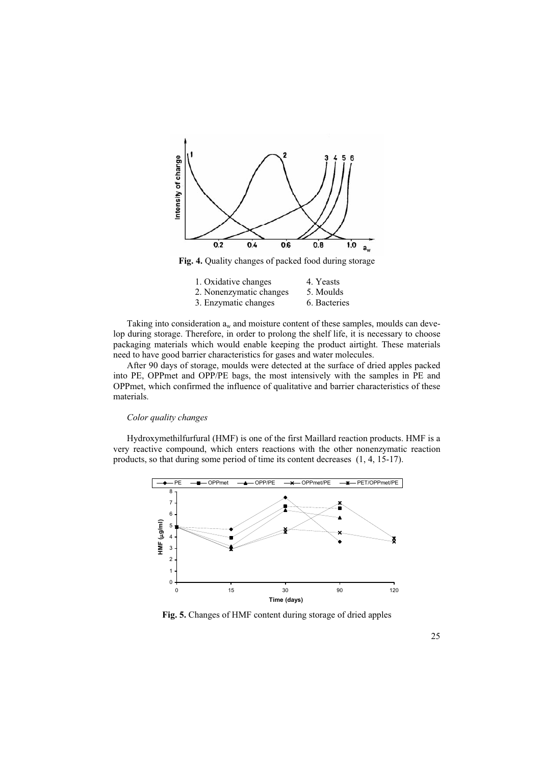

**Fig. 4.** Quality changes of packed food during storage

| 1. Oxidative changes    | 4. Yeasts    |
|-------------------------|--------------|
| 2. Nonenzymatic changes | 5. Moulds    |
| 3. Enzymatic changes    | 6. Bacteries |

Taking into consideration  $a_w$  and moisture content of these samples, moulds can develop during storage. Therefore, in order to prolong the shelf life, it is necessary to choose packaging materials which would enable keeping the product airtight. These materials need to have good barrier characteristics for gases and water molecules.

 After 90 days of storage, moulds were detected at the surface of dried apples packed into PE, OPPmet and OPP/PE bags, the most intensively with the samples in PE and OPPmet, which confirmed the influence of qualitative and barrier characteristics of these materials.

### *Color quality changes*

 Hydroxymethilfurfural (HMF) is one of the first Maillard reaction products. HMF is a very reactive compound, which enters reactions with the other nonenzymatic reaction products, so that during some period of time its content decreases (1, 4, 15-17).



**Fig. 5.** Changes of HMF content during storage of dried apples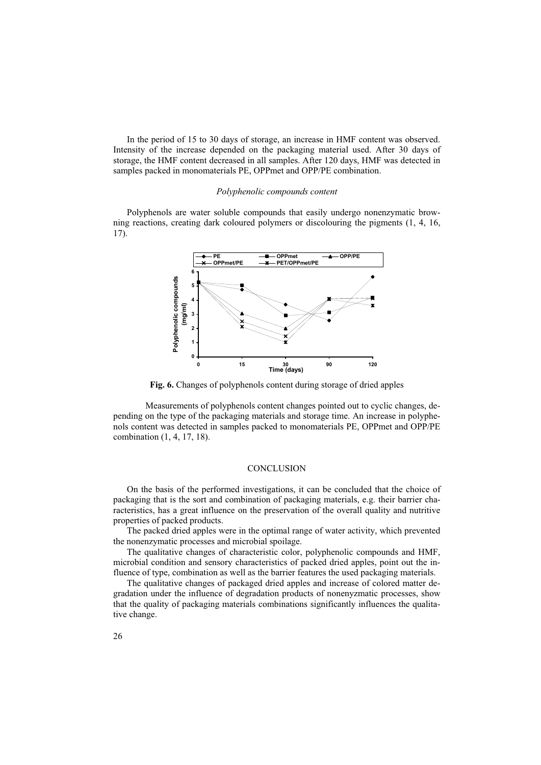In the period of 15 to 30 days of storage, an increase in HMF content was observed. Intensity of the increase depended on the packaging material used. After 30 days of storage, the HMF content decreased in all samples. After 120 days, HMF was detected in samples packed in monomaterials PE, OPPmet and OPP/PE combination.

#### *Polyphenolic compounds content*

 Polyphenols are water soluble compounds that easily undergo nonenzymatic browning reactions, creating dark coloured polymers or discolouring the pigments (1, 4, 16, 17).



**Fig. 6.** Changes of polyphenols content during storage of dried apples

 Measurements of polyphenols content changes pointed out to cyclic changes, depending on the type of the packaging materials and storage time. An increase in polyphenols content was detected in samples packed to monomaterials PE, OPPmet and OPP/PE combination (1, 4, 17, 18).

### **CONCLUSION**

 On the basis of the performed investigations, it can be concluded that the choice of packaging that is the sort and combination of packaging materials, e.g. their barrier characteristics, has a great influence on the preservation of the overall quality and nutritive properties of packed products.

 The packed dried apples were in the optimal range of water activity, which prevented the nonenzymatic processes and microbial spoilage.

 The qualitative changes of characteristic color, polyphenolic compounds and HMF, microbial condition and sensory characteristics of packed dried apples, point out the influence of type, combination as well as the barrier features the used packaging materials.

 The qualitative changes of packaged dried apples and increase of colored matter degradation under the influence of degradation products of nonenyzmatic processes, show that the quality of packaging materials combinations significantly influences the qualitative change.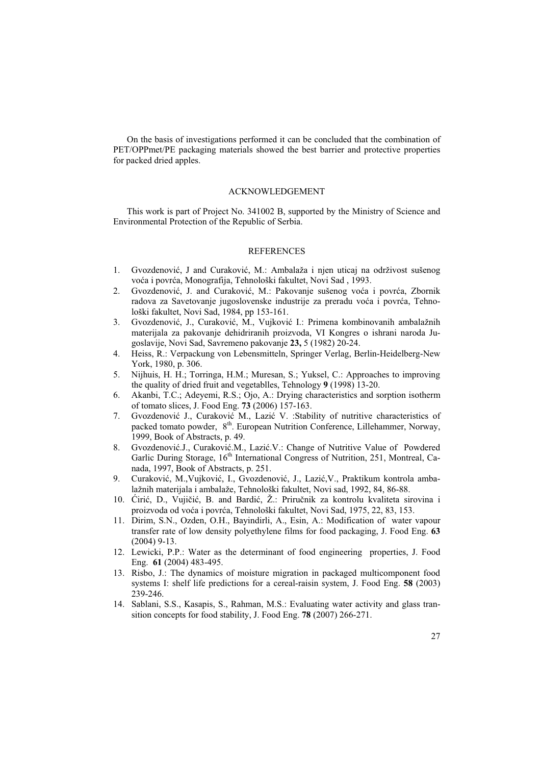On the basis of investigations performed it can be concluded that the combination of PET/OPPmet/PE packaging materials showed the best barrier and protective properties for packed dried apples.

#### ACKNOWLEDGEMENT

 This work is part of Project No. 341002 B, supported by the Ministry of Science and Environmental Protection of the Republic of Serbia.

#### REFERENCES

- 1. Gvozdenović, J and Curaković, M.: Ambalaža i njen uticaj na održivost sušenog voća i povrća, Monografija, Tehnološki fakultet, Novi Sad, 1993.
- 2. Gvozdenović, J. and Curaković, M.: Pakovanje sušenog voća i povrća, Zbornik radova za Savetovanje jugoslovenske industrije za preradu voća i povrća, Tehnološki fakultet, Novi Sad, 1984, pp 153-161.
- 3. Gvozdenović, J., Curaković, M., Vujković I.: Primena kombinovanih ambalažnih materijala za pakovanje dehidriranih proizvoda, VI Kongres o ishrani naroda Jugoslavije, Novi Sad, Savremeno pakovanje **23,** 5 (1982) 20-24.
- 4. Heiss, R.: Verpackung von Lebensmitteln, Springer Verlag, Berlin-Heidelberg-New York, 1980, p. 306.
- 5. Nijhuis, H. H.; Torringa, H.M.; Muresan, S.; Yuksel, C.: Approaches to improving the quality of dried fruit and vegetablles, Tehnology **9** (1998) 13-20.
- 6. Akanbi, T.C.; Adeyemi, R.S.; Ojo, A.: Drying characteristics and sorption isotherm of tomato slices, J. Food Eng. **73** (2006) 157-163.
- 7. Gvozdenović J., Curaković M., Lazić V. : Stability of nutritive characteristics of packed tomato powder, 8<sup>th</sup>. European Nutrition Conference, Lillehammer, Norway, 1999, Book of Abstracts, p. 49.
- 8. Gvozdenović.J., Curaković.M., Lazić.V.: Change of Nutritive Value of Powdered Garlic During Storage, 16<sup>th</sup> International Congress of Nutrition, 251, Montreal, Canada, 1997, Book of Abstracts, p. 251.
- 9. Curaković, M., Vujković, I., Gvozdenović, J., Lazić, V., Praktikum kontrola ambalažnih materijala i ambalaže, Tehnološki fakultet, Novi sad, 1992, 84, 86-88.
- 10. Čirić, D., Vujičić, B. and Bardić, Ž.: Priručnik za kontrolu kvaliteta sirovina i proizvoda od voća i povrća, Tehnološki fakultet, Novi Sad, 1975, 22, 83, 153.
- 11. Dirim, S.N., Ozden, O.H., Bayindirli, A., Esin, A.: Modification of water vapour transfer rate of low density polyethylene films for food packaging, J. Food Eng. **63** (2004) 9-13.
- 12. Lewicki, P.P.: Water as the determinant of food engineering properties, J. Food Eng. **61** (2004) 483-495.
- 13. Risbo, J.: The dynamics of moisture migration in packaged multicomponent food systems I: shelf life predictions for a cereal-raisin system, J. Food Eng. **58** (2003) 239-246.
- 14. Sablani, S.S., Kasapis, S., Rahman, M.S.: Evaluating water activity and glass transition concepts for food stability, J. Food Eng. **78** (2007) 266-271.